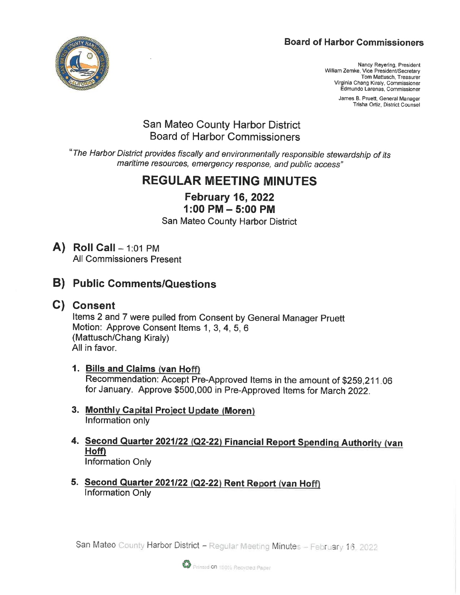# **Board of Harbor Commissioners**



Nancy Reyering, President William Zemke, Vice President/Secretary Tom Mattusch, Treasurer Virginia Chang Kiraly, Commissioner Edmundo Larenas, Commissioner

> James B. Pruett, General Manager Trisha Ortiz, District Counsel

# San Mateo County Harbor District Board of Harbor Commissioners

'The Harbor District provides fiscally and environmentally responsible stewardship of its maritime resources, emergency response, and public access"

# REGULAR MEETING MINUTES

February 16, 2022 1:00 PM-5:00 PM

San Mateo County Harbor District

- $\mathbf{A}$ ) Roll Call 1:01 PM All Commissioners Present
- B) Public Comments/Questions
- C) Consent

Items 2 and 7 were pulled from Consent by General Manager Pruett Motion: Approve Consent Items 1, 3, 4, 5, 6 (Mattusch/Chang Kiraly) All in favor.

- 1. Bills and Claims (van Hoff) Recommendation: Accept Pre-Approved Items in the amount of \$259, 211 06 for January. Approve \$500, 000 in Pre-Approved Items for March 2022.
- 3. Monthly Capital Project Update (Moren) Information only
- 4. Second Quarter 2021/22 (Q2-22) Financial Report Spending Authority (van Hoff) Information Only
- 5. Second Quarter 2021/22 (Q2-22) Rent Report (van Hoff) Information Only

San Mateo County Harbor District - Regular Meeting Minutes - February 16

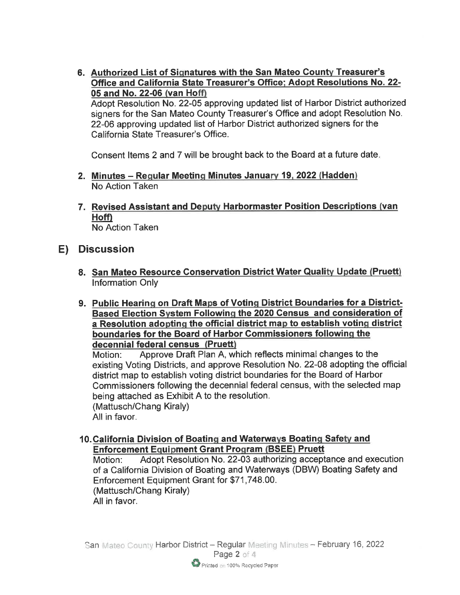6. Authorized List of Signatures with the San Mateo County Treasurer's Office and California State Treasurer's Office; Adopt Resolutions No. 22-05 and No. 22-06 (van Hoff)

Adopt Resolution No. 22-05 approving updated list of Harbor District authorized signers for the San Mateo County Treasurer's Office and adopt Resolution No. 22-06 approving updated list of Harbor District authorized signers for the California State Treasurer's Office.

Consent Items 2 and 7 will be brought back to the Board at a future date

- 2. Minutes Regular Meeting Minutes January 19, 2022 (Hadden) No Action Taken
- 7. Revised Assistant and Deputy Harbormaster Position Descriptions (van Hoff) No Action Taken

# E) Discussion

- 8. <u>San Mateo Resource Conservation District Water Quality Update (Pruett</u> Information Only
- 9. Public Hearing on Draft Maps of Voting District Boundaries for a District-Based Election System Following the 2020 Census and consideration of a Resolution adopting the official district map to establish voting district boundaries for the Board of Harbor Commissioners following the decennial federal census (Pruett)

Motion: Approve Draft Plan A, which reflects minimal changes to the existing Voting Districts, and approve Resolution No. 22-08 adopting the official district map to establish voting district boundaries for the Board of Harbor Commissioners following the decennial federal census, with the selected map being attached as Exhibit A to the resolution. (Mattusch/Chang Kiraly) All in favor.

10. California Division of Boating and Waterways Boating Safety and Enforcement Equipment Grant Program (BSEE) Pruett

Motion: Adopt Resolution No. 22-03 authorizing acceptance and execution of a California Division of Boating and Waterways (DBW) Boating Safety and Enforcement Equipment Grant for \$71 ,748. 00. (Mattusch/Chang Kiraly) All in favor.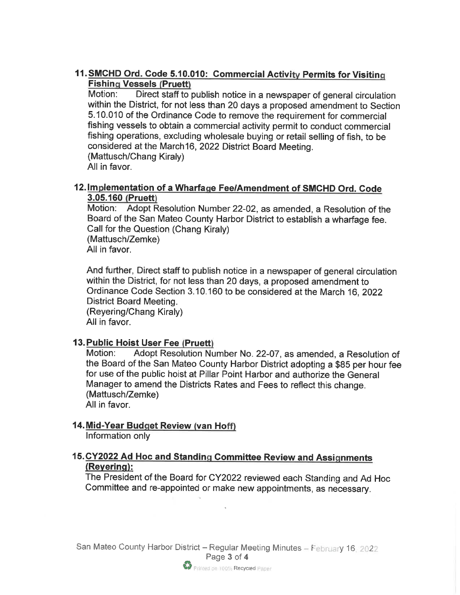## 11. SMCHD Ord. Code 5.10.010: Commercial Activity Permits for Visiting **Fishing Vessels (Pruett)**

Motion: Direct staff to publish notice in a newspaper of general circulation within the District, for not less than 20 days a proposed amendment to Section 5. 10. 010 of the Ordinance Code to remove the requirement for commercial fishing vessels to obtain a commercial activity permit to conduct commercial fishing operations, excluding wholesale buying or retail selling of fish, to be considered at the March16, 2022 District Board Meeting. (Mattusch/Chang Kiraly) All in favor.

#### 12. Implementation of a Wharfage Fee/Amendment of SMCHD Ord. Code 3.05.160 (Pruett)

Motion: Adopt Resolution Number 22-02, as amended, a Resolution of the Board of the San Mateo County Harbor District to establish a wharfage fee. Call for the Question (Chang Kiraly) (Mattusch/Zemke) All in favor.

And further, Direct staff to publish notice in a newspaper of general circulation within the District, for not less than 20 days, a proposed amendment to Ordinance Code Section 3. 10. 160 to be considered at the March 16, 2022 District Board Meeting. (Reyering/Chang Kiraly) All in favor.

#### 13. Public Hoist User Fee (Pruett)

Motion: Adopt Resolution Number No. 22-07, as amended, a Resolution of the Board of the San Mateo County Harbor District adopting a \$85 per hour fee for use of the public hoist at Pillar Point Harbor and authorize the General Manager to amend the Districts Rates and Fees to reflect this change. (Mattusch/Zemke)

All in favor.

## 14. Mid-Year Budget Review (van Hoff)

Information only

## 15. CY2022 Ad Hoc and Standing Committee Review and Assignments (Revering):

The President of the Board for CY2022 reviewed each Standing and Ad Hoc Committee and re-appointed or make new appointments, as necessary.